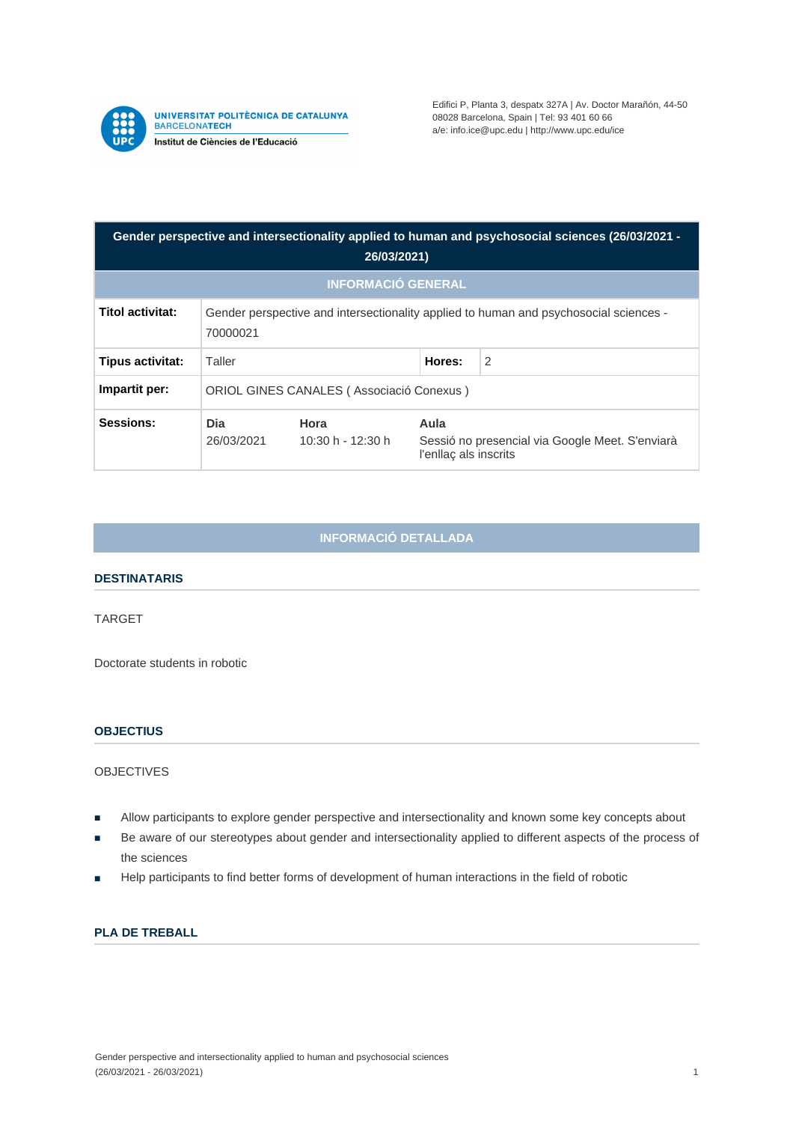

UNIVERSITAT POLITÈCNICA DE CATALUNYA<br>BARCELONAT**ECH** Institut de Ciències de l'Educació

Edifici P, Planta 3, despatx 327A | Av. Doctor Marañón, 44-50 08028 Barcelona, Spain | Tel: 93 401 60 66 a/e: info.ice@upc.edu | http://www.upc.edu/ice

| Gender perspective and intersectionality applied to human and psychosocial sciences (26/03/2021 -<br>26/03/2021) |                                                                                                   |                           |                                                                                  |                |
|------------------------------------------------------------------------------------------------------------------|---------------------------------------------------------------------------------------------------|---------------------------|----------------------------------------------------------------------------------|----------------|
| <b>INFORMACIÓ GENERAL</b>                                                                                        |                                                                                                   |                           |                                                                                  |                |
| Titol activitat:                                                                                                 | Gender perspective and intersectionality applied to human and psychosocial sciences -<br>70000021 |                           |                                                                                  |                |
| Tipus activitat:                                                                                                 | Taller                                                                                            |                           | Hores:                                                                           | $\overline{2}$ |
| Impartit per:                                                                                                    | ORIOL GINES CANALES (Associació Conexus)                                                          |                           |                                                                                  |                |
| Sessions:                                                                                                        | Dia<br>26/03/2021                                                                                 | Hora<br>10:30 h - 12:30 h | Aula<br>Sessió no presencial via Google Meet. S'enviarà<br>l'enllac als inscrits |                |

# **INFORMACIÓ DETALLADA**

## **DESTINATARIS**

#### TARGET

Doctorate students in robotic

### **OBJECTIUS**

OBJECTIVES

- Allow participants to explore gender perspective and intersectionality and known some key concepts about
- Be aware of our stereotypes about gender and intersectionality applied to different aspects of the process of the sciences
- Help participants to find better forms of development of human interactions in the field of robotic

# **PLA DE TREBALL**